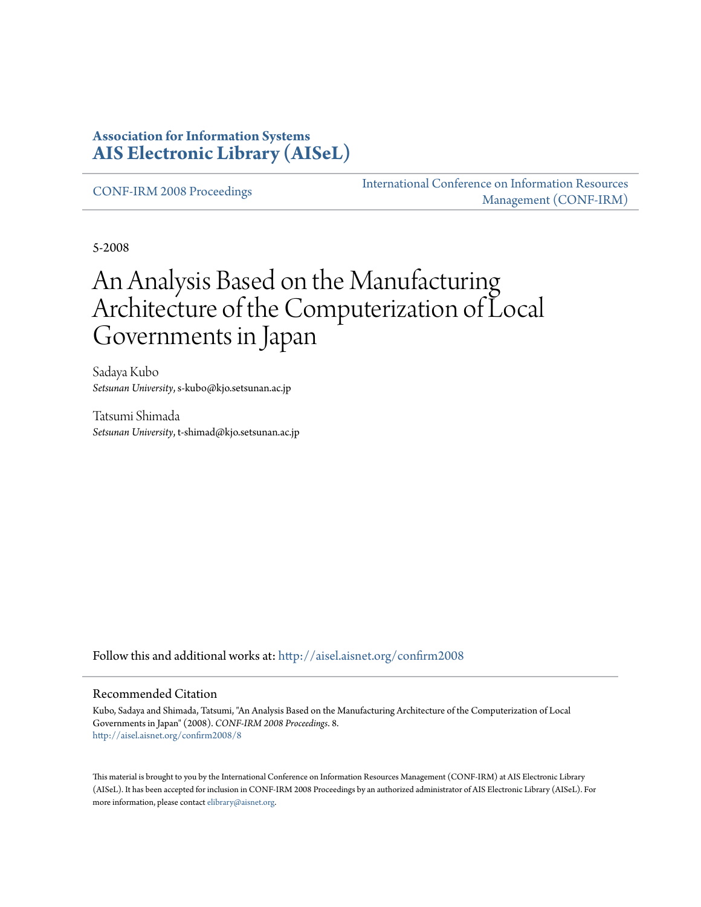#### **Association for Information Systems [AIS Electronic Library \(AISeL\)](http://aisel.aisnet.org?utm_source=aisel.aisnet.org%2Fconfirm2008%2F8&utm_medium=PDF&utm_campaign=PDFCoverPages)**

[CONF-IRM 2008 Proceedings](http://aisel.aisnet.org/confirm2008?utm_source=aisel.aisnet.org%2Fconfirm2008%2F8&utm_medium=PDF&utm_campaign=PDFCoverPages)

[International Conference on Information Resources](http://aisel.aisnet.org/conf-irm?utm_source=aisel.aisnet.org%2Fconfirm2008%2F8&utm_medium=PDF&utm_campaign=PDFCoverPages) [Management \(CONF-IRM\)](http://aisel.aisnet.org/conf-irm?utm_source=aisel.aisnet.org%2Fconfirm2008%2F8&utm_medium=PDF&utm_campaign=PDFCoverPages)

5-2008

# An Analysis Based on the Manufacturing Architecture of the Computerization of Local Governments in Japan

Sadaya Kubo *Setsunan University*, s-kubo@kjo.setsunan.ac.jp

Tatsumi Shimada *Setsunan University*, t-shimad@kjo.setsunan.ac.jp

Follow this and additional works at: [http://aisel.aisnet.org/confirm2008](http://aisel.aisnet.org/confirm2008?utm_source=aisel.aisnet.org%2Fconfirm2008%2F8&utm_medium=PDF&utm_campaign=PDFCoverPages)

#### Recommended Citation

Kubo, Sadaya and Shimada, Tatsumi, "An Analysis Based on the Manufacturing Architecture of the Computerization of Local Governments in Japan" (2008). *CONF-IRM 2008 Proceedings*. 8. [http://aisel.aisnet.org/confirm2008/8](http://aisel.aisnet.org/confirm2008/8?utm_source=aisel.aisnet.org%2Fconfirm2008%2F8&utm_medium=PDF&utm_campaign=PDFCoverPages)

This material is brought to you by the International Conference on Information Resources Management (CONF-IRM) at AIS Electronic Library (AISeL). It has been accepted for inclusion in CONF-IRM 2008 Proceedings by an authorized administrator of AIS Electronic Library (AISeL). For more information, please contact [elibrary@aisnet.org.](mailto:elibrary@aisnet.org%3E)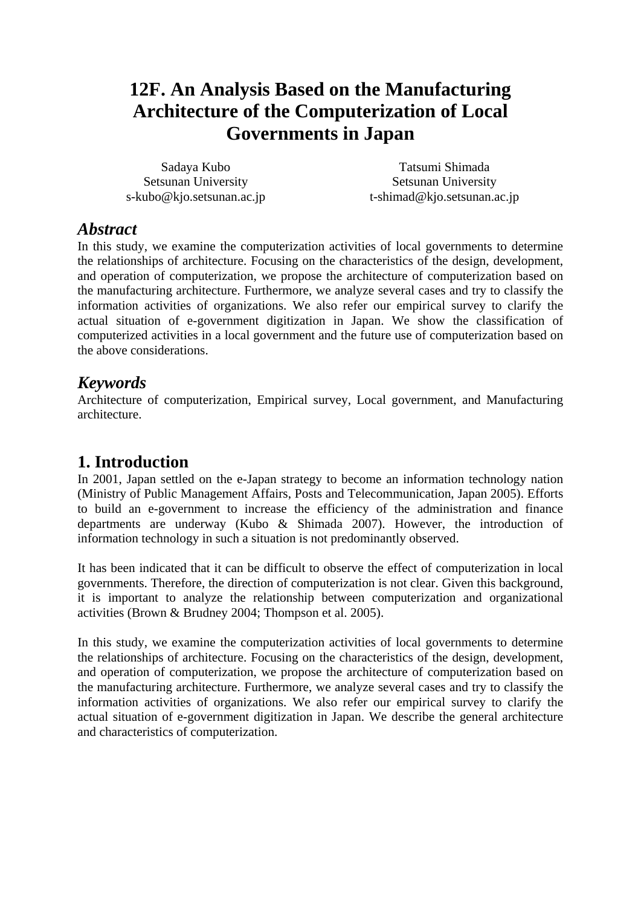# **12F. An Analysis Based on the Manufacturing Architecture of the Computerization of Local Governments in Japan**

Sadaya Kubo Setsunan University s-kubo@kjo.setsunan.ac.jp

Tatsumi Shimada Setsunan University t-shimad@kjo.setsunan.ac.jp

### *Abstract*

In this study, we examine the computerization activities of local governments to determine the relationships of architecture. Focusing on the characteristics of the design, development, and operation of computerization, we propose the architecture of computerization based on the manufacturing architecture. Furthermore, we analyze several cases and try to classify the information activities of organizations. We also refer our empirical survey to clarify the actual situation of e-government digitization in Japan. We show the classification of computerized activities in a local government and the future use of computerization based on the above considerations.

## *Keywords*

Architecture of computerization, Empirical survey, Local government, and Manufacturing architecture.

## **1. Introduction**

In 2001, Japan settled on the e-Japan strategy to become an information technology nation (Ministry of Public Management Affairs, Posts and Telecommunication, Japan 2005). Efforts to build an e-government to increase the efficiency of the administration and finance departments are underway (Kubo & Shimada 2007). However, the introduction of information technology in such a situation is not predominantly observed.

It has been indicated that it can be difficult to observe the effect of computerization in local governments. Therefore, the direction of computerization is not clear. Given this background, it is important to analyze the relationship between computerization and organizational activities (Brown & Brudney 2004; Thompson et al. 2005).

In this study, we examine the computerization activities of local governments to determine the relationships of architecture. Focusing on the characteristics of the design, development, and operation of computerization, we propose the architecture of computerization based on the manufacturing architecture. Furthermore, we analyze several cases and try to classify the information activities of organizations. We also refer our empirical survey to clarify the actual situation of e-government digitization in Japan. We describe the general architecture and characteristics of computerization.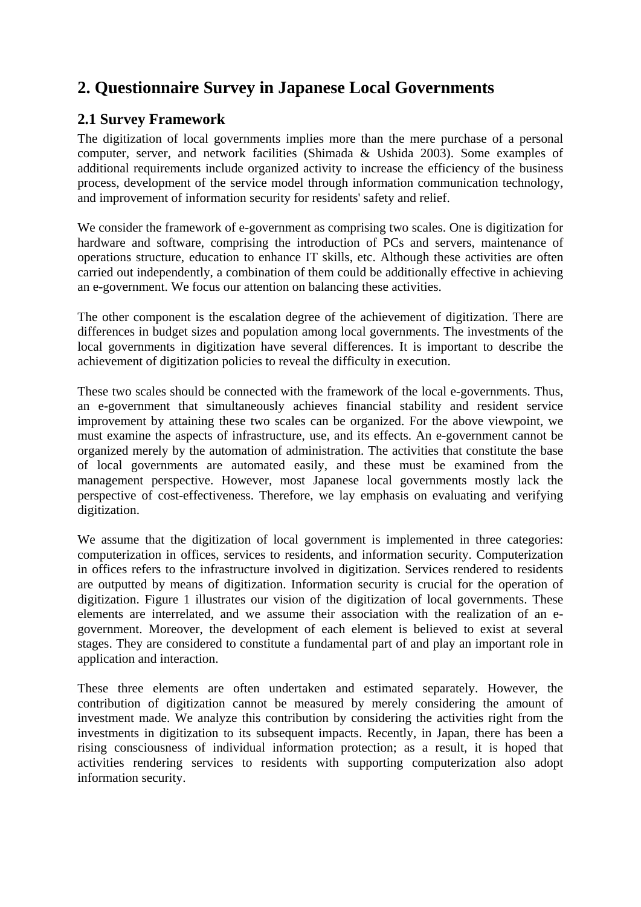## **2. Questionnaire Survey in Japanese Local Governments**

#### **2.1 Survey Framework**

The digitization of local governments implies more than the mere purchase of a personal computer, server, and network facilities (Shimada & Ushida 2003). Some examples of additional requirements include organized activity to increase the efficiency of the business process, development of the service model through information communication technology, and improvement of information security for residents' safety and relief.

We consider the framework of e-government as comprising two scales. One is digitization for hardware and software, comprising the introduction of PCs and servers, maintenance of operations structure, education to enhance IT skills, etc. Although these activities are often carried out independently, a combination of them could be additionally effective in achieving an e-government. We focus our attention on balancing these activities.

The other component is the escalation degree of the achievement of digitization. There are differences in budget sizes and population among local governments. The investments of the local governments in digitization have several differences. It is important to describe the achievement of digitization policies to reveal the difficulty in execution.

These two scales should be connected with the framework of the local e-governments. Thus, an e-government that simultaneously achieves financial stability and resident service improvement by attaining these two scales can be organized. For the above viewpoint, we must examine the aspects of infrastructure, use, and its effects. An e-government cannot be organized merely by the automation of administration. The activities that constitute the base of local governments are automated easily, and these must be examined from the management perspective. However, most Japanese local governments mostly lack the perspective of cost-effectiveness. Therefore, we lay emphasis on evaluating and verifying digitization.

We assume that the digitization of local government is implemented in three categories: computerization in offices, services to residents, and information security. Computerization in offices refers to the infrastructure involved in digitization. Services rendered to residents are outputted by means of digitization. Information security is crucial for the operation of digitization. Figure 1 illustrates our vision of the digitization of local governments. These elements are interrelated, and we assume their association with the realization of an egovernment. Moreover, the development of each element is believed to exist at several stages. They are considered to constitute a fundamental part of and play an important role in application and interaction.

These three elements are often undertaken and estimated separately. However, the contribution of digitization cannot be measured by merely considering the amount of investment made. We analyze this contribution by considering the activities right from the investments in digitization to its subsequent impacts. Recently, in Japan, there has been a rising consciousness of individual information protection; as a result, it is hoped that activities rendering services to residents with supporting computerization also adopt information security.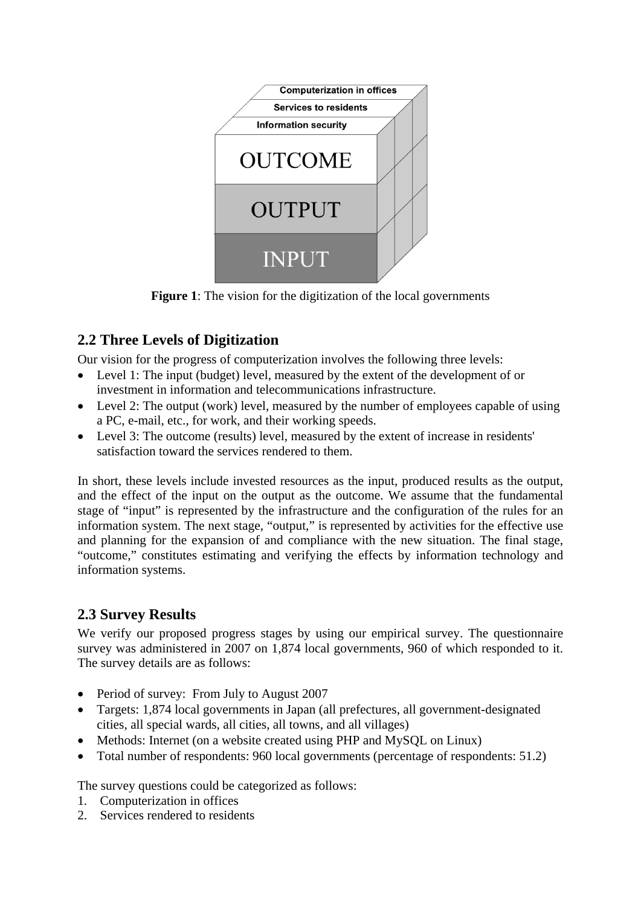

**Figure 1:** The vision for the digitization of the local governments

## **2.2 Three Levels of Digitization**

Our vision for the progress of computerization involves the following three levels:

- Level 1: The input (budget) level, measured by the extent of the development of or investment in information and telecommunications infrastructure.
- Level 2: The output (work) level, measured by the number of employees capable of using a PC, e-mail, etc., for work, and their working speeds.
- Level 3: The outcome (results) level, measured by the extent of increase in residents' satisfaction toward the services rendered to them.

In short, these levels include invested resources as the input, produced results as the output, and the effect of the input on the output as the outcome. We assume that the fundamental stage of "input" is represented by the infrastructure and the configuration of the rules for an information system. The next stage, "output," is represented by activities for the effective use and planning for the expansion of and compliance with the new situation. The final stage, "outcome," constitutes estimating and verifying the effects by information technology and information systems.

## **2.3 Survey Results**

We verify our proposed progress stages by using our empirical survey. The questionnaire survey was administered in 2007 on 1,874 local governments, 960 of which responded to it. The survey details are as follows:

- Period of survey: From July to August 2007
- Targets: 1,874 local governments in Japan (all prefectures, all government-designated cities, all special wards, all cities, all towns, and all villages)
- Methods: Internet (on a website created using PHP and MySQL on Linux)
- Total number of respondents: 960 local governments (percentage of respondents: 51.2)

The survey questions could be categorized as follows:

- 1. Computerization in offices
- 2. Services rendered to residents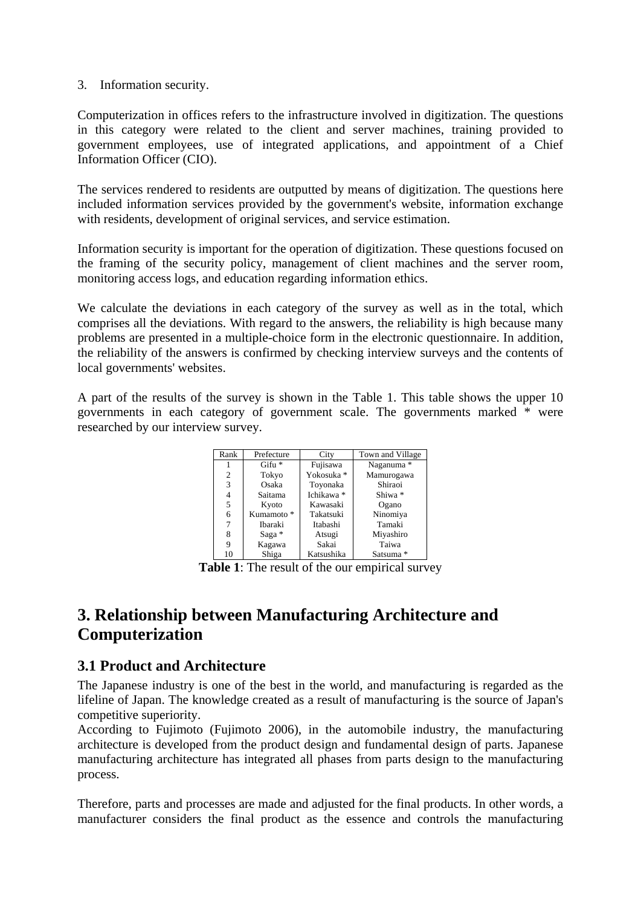#### 3. Information security.

Computerization in offices refers to the infrastructure involved in digitization. The questions in this category were related to the client and server machines, training provided to government employees, use of integrated applications, and appointment of a Chief Information Officer (CIO).

The services rendered to residents are outputted by means of digitization. The questions here included information services provided by the government's website, information exchange with residents, development of original services, and service estimation.

Information security is important for the operation of digitization. These questions focused on the framing of the security policy, management of client machines and the server room, monitoring access logs, and education regarding information ethics.

We calculate the deviations in each category of the survey as well as in the total, which comprises all the deviations. With regard to the answers, the reliability is high because many problems are presented in a multiple-choice form in the electronic questionnaire. In addition, the reliability of the answers is confirmed by checking interview surveys and the contents of local governments' websites.

A part of the results of the survey is shown in the Table 1. This table shows the upper 10 governments in each category of government scale. The governments marked \* were researched by our interview survey.

| Rank | Prefecture            | City       | Town and Village |  |
|------|-----------------------|------------|------------------|--|
|      | $G$ ifu $*$           | Fujisawa   | Naganuma *       |  |
| 2    | Tokyo                 | Yokosuka * | Mamurogawa       |  |
| 3    | Osaka                 | Toyonaka   | Shiraoi          |  |
| 4    | Saitama               | Ichikawa * | Shiwa *          |  |
| 5    | Kyoto                 | Kawasaki   | Ogano            |  |
| 6    | Kumamoto <sup>*</sup> | Takatsuki  | Ninomiya         |  |
| 7    | <b>Ibaraki</b>        | Itabashi   | Tamaki           |  |
| 8    | Saga $*$              | Atsugi     | Miyashiro        |  |
| 9    | Kagawa                | Sakai      | Taiwa            |  |
| 10   | Shiga                 | Katsushika | Satsuma *        |  |

**Table 1**: The result of the our empirical survey

## **3. Relationship between Manufacturing Architecture and Computerization**

#### **3.1 Product and Architecture**

The Japanese industry is one of the best in the world, and manufacturing is regarded as the lifeline of Japan. The knowledge created as a result of manufacturing is the source of Japan's competitive superiority.

According to Fujimoto (Fujimoto 2006), in the automobile industry, the manufacturing architecture is developed from the product design and fundamental design of parts. Japanese manufacturing architecture has integrated all phases from parts design to the manufacturing process.

Therefore, parts and processes are made and adjusted for the final products. In other words, a manufacturer considers the final product as the essence and controls the manufacturing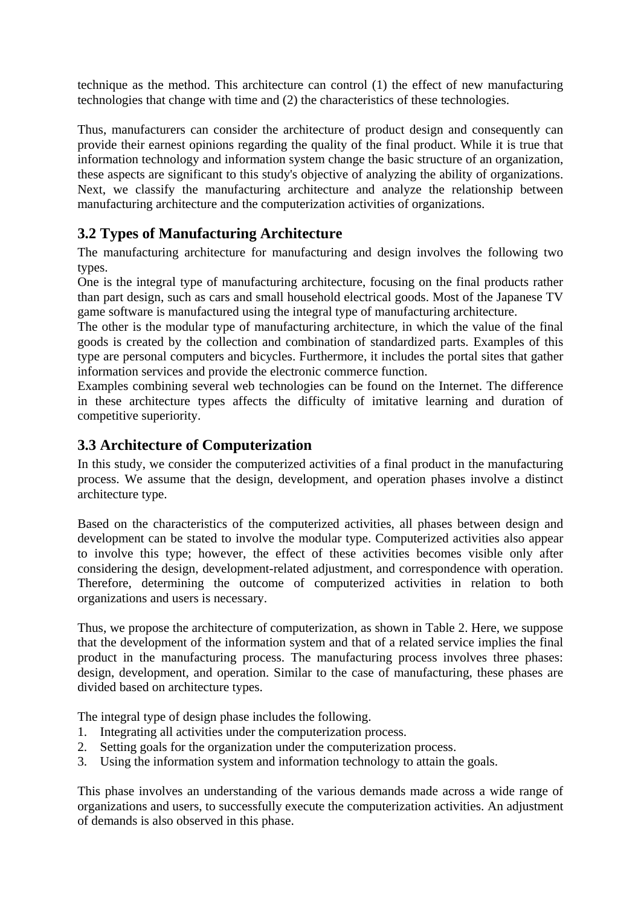technique as the method. This architecture can control (1) the effect of new manufacturing technologies that change with time and (2) the characteristics of these technologies.

Thus, manufacturers can consider the architecture of product design and consequently can provide their earnest opinions regarding the quality of the final product. While it is true that information technology and information system change the basic structure of an organization, these aspects are significant to this study's objective of analyzing the ability of organizations. Next, we classify the manufacturing architecture and analyze the relationship between manufacturing architecture and the computerization activities of organizations.

### **3.2 Types of Manufacturing Architecture**

The manufacturing architecture for manufacturing and design involves the following two types.

One is the integral type of manufacturing architecture, focusing on the final products rather than part design, such as cars and small household electrical goods. Most of the Japanese TV game software is manufactured using the integral type of manufacturing architecture.

The other is the modular type of manufacturing architecture, in which the value of the final goods is created by the collection and combination of standardized parts. Examples of this type are personal computers and bicycles. Furthermore, it includes the portal sites that gather information services and provide the electronic commerce function.

Examples combining several web technologies can be found on the Internet. The difference in these architecture types affects the difficulty of imitative learning and duration of competitive superiority.

#### **3.3 Architecture of Computerization**

In this study, we consider the computerized activities of a final product in the manufacturing process. We assume that the design, development, and operation phases involve a distinct architecture type.

Based on the characteristics of the computerized activities, all phases between design and development can be stated to involve the modular type. Computerized activities also appear to involve this type; however, the effect of these activities becomes visible only after considering the design, development-related adjustment, and correspondence with operation. Therefore, determining the outcome of computerized activities in relation to both organizations and users is necessary.

Thus, we propose the architecture of computerization, as shown in Table 2. Here, we suppose that the development of the information system and that of a related service implies the final product in the manufacturing process. The manufacturing process involves three phases: design, development, and operation. Similar to the case of manufacturing, these phases are divided based on architecture types.

The integral type of design phase includes the following.

- 1. Integrating all activities under the computerization process.
- 2. Setting goals for the organization under the computerization process.
- 3. Using the information system and information technology to attain the goals.

This phase involves an understanding of the various demands made across a wide range of organizations and users, to successfully execute the computerization activities. An adjustment of demands is also observed in this phase.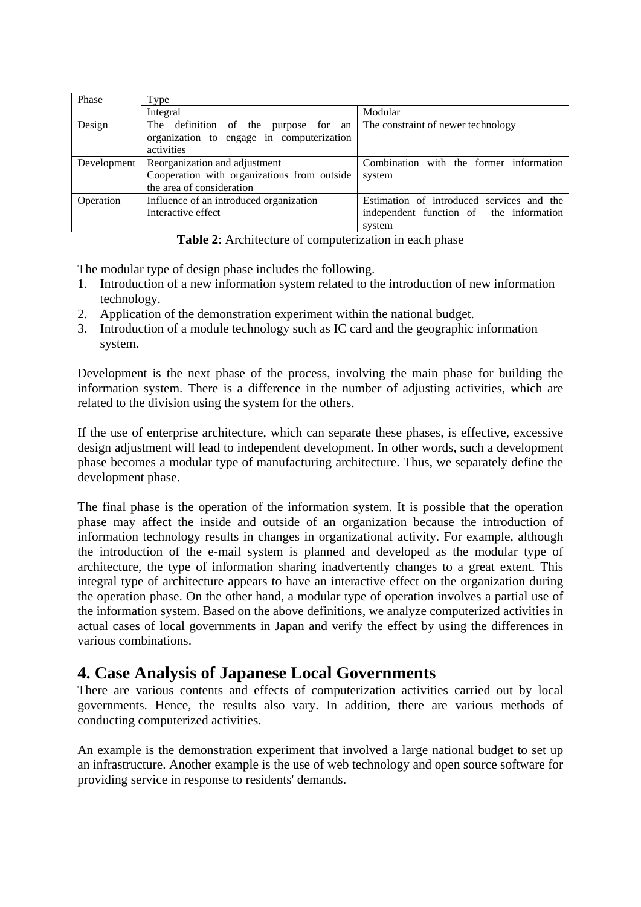| Phase       | Type                                        |                                           |  |  |  |  |
|-------------|---------------------------------------------|-------------------------------------------|--|--|--|--|
|             | Integral                                    | Modular                                   |  |  |  |  |
| Design      | The definition of the<br>purpose for an     | The constraint of newer technology        |  |  |  |  |
|             | organization to engage in computerization   |                                           |  |  |  |  |
|             | activities                                  |                                           |  |  |  |  |
| Development | Reorganization and adjustment               | Combination with the former information   |  |  |  |  |
|             | Cooperation with organizations from outside | system                                    |  |  |  |  |
|             | the area of consideration                   |                                           |  |  |  |  |
| Operation   | Influence of an introduced organization     | Estimation of introduced services and the |  |  |  |  |
|             | Interactive effect                          | independent function of the information   |  |  |  |  |
|             |                                             | system                                    |  |  |  |  |

**Table 2**: Architecture of computerization in each phase

The modular type of design phase includes the following.

- 1. Introduction of a new information system related to the introduction of new information technology.
- 2. Application of the demonstration experiment within the national budget.
- 3. Introduction of a module technology such as IC card and the geographic information system.

Development is the next phase of the process, involving the main phase for building the information system. There is a difference in the number of adjusting activities, which are related to the division using the system for the others.

If the use of enterprise architecture, which can separate these phases, is effective, excessive design adjustment will lead to independent development. In other words, such a development phase becomes a modular type of manufacturing architecture. Thus, we separately define the development phase.

The final phase is the operation of the information system. It is possible that the operation phase may affect the inside and outside of an organization because the introduction of information technology results in changes in organizational activity. For example, although the introduction of the e-mail system is planned and developed as the modular type of architecture, the type of information sharing inadvertently changes to a great extent. This integral type of architecture appears to have an interactive effect on the organization during the operation phase. On the other hand, a modular type of operation involves a partial use of the information system. Based on the above definitions, we analyze computerized activities in actual cases of local governments in Japan and verify the effect by using the differences in various combinations.

### **4. Case Analysis of Japanese Local Governments**

There are various contents and effects of computerization activities carried out by local governments. Hence, the results also vary. In addition, there are various methods of conducting computerized activities.

An example is the demonstration experiment that involved a large national budget to set up an infrastructure. Another example is the use of web technology and open source software for providing service in response to residents' demands.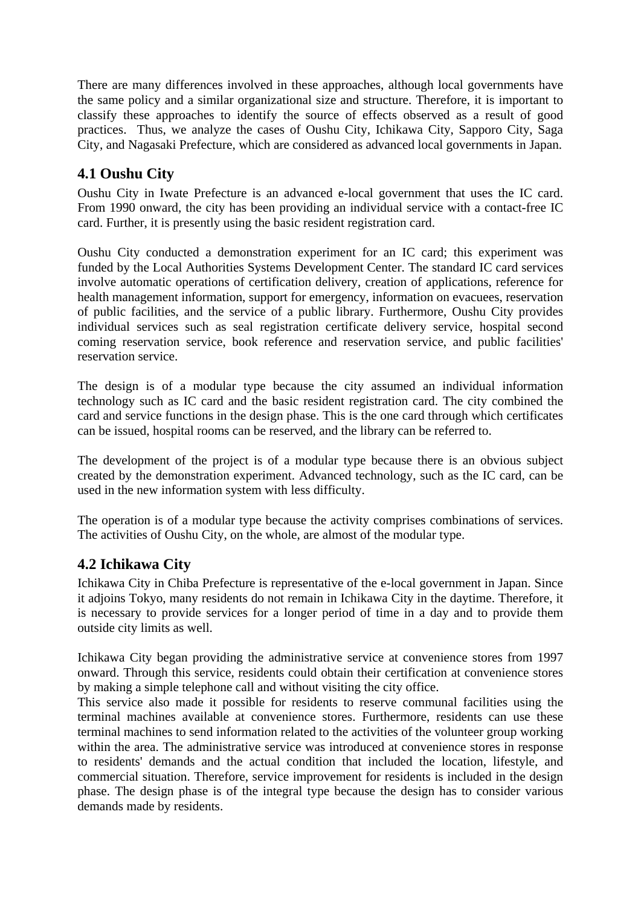There are many differences involved in these approaches, although local governments have the same policy and a similar organizational size and structure. Therefore, it is important to classify these approaches to identify the source of effects observed as a result of good practices. Thus, we analyze the cases of Oushu City, Ichikawa City, Sapporo City, Saga City, and Nagasaki Prefecture, which are considered as advanced local governments in Japan.

#### **4.1 Oushu City**

Oushu City in Iwate Prefecture is an advanced e-local government that uses the IC card. From 1990 onward, the city has been providing an individual service with a contact-free IC card. Further, it is presently using the basic resident registration card.

Oushu City conducted a demonstration experiment for an IC card; this experiment was funded by the Local Authorities Systems Development Center. The standard IC card services involve automatic operations of certification delivery, creation of applications, reference for health management information, support for emergency, information on evacuees, reservation of public facilities, and the service of a public library. Furthermore, Oushu City provides individual services such as seal registration certificate delivery service, hospital second coming reservation service, book reference and reservation service, and public facilities' reservation service.

The design is of a modular type because the city assumed an individual information technology such as IC card and the basic resident registration card. The city combined the card and service functions in the design phase. This is the one card through which certificates can be issued, hospital rooms can be reserved, and the library can be referred to.

The development of the project is of a modular type because there is an obvious subject created by the demonstration experiment. Advanced technology, such as the IC card, can be used in the new information system with less difficulty.

The operation is of a modular type because the activity comprises combinations of services. The activities of Oushu City, on the whole, are almost of the modular type.

#### **4.2 Ichikawa City**

Ichikawa City in Chiba Prefecture is representative of the e-local government in Japan. Since it adjoins Tokyo, many residents do not remain in Ichikawa City in the daytime. Therefore, it is necessary to provide services for a longer period of time in a day and to provide them outside city limits as well.

Ichikawa City began providing the administrative service at convenience stores from 1997 onward. Through this service, residents could obtain their certification at convenience stores by making a simple telephone call and without visiting the city office.

This service also made it possible for residents to reserve communal facilities using the terminal machines available at convenience stores. Furthermore, residents can use these terminal machines to send information related to the activities of the volunteer group working within the area. The administrative service was introduced at convenience stores in response to residents' demands and the actual condition that included the location, lifestyle, and commercial situation. Therefore, service improvement for residents is included in the design phase. The design phase is of the integral type because the design has to consider various demands made by residents.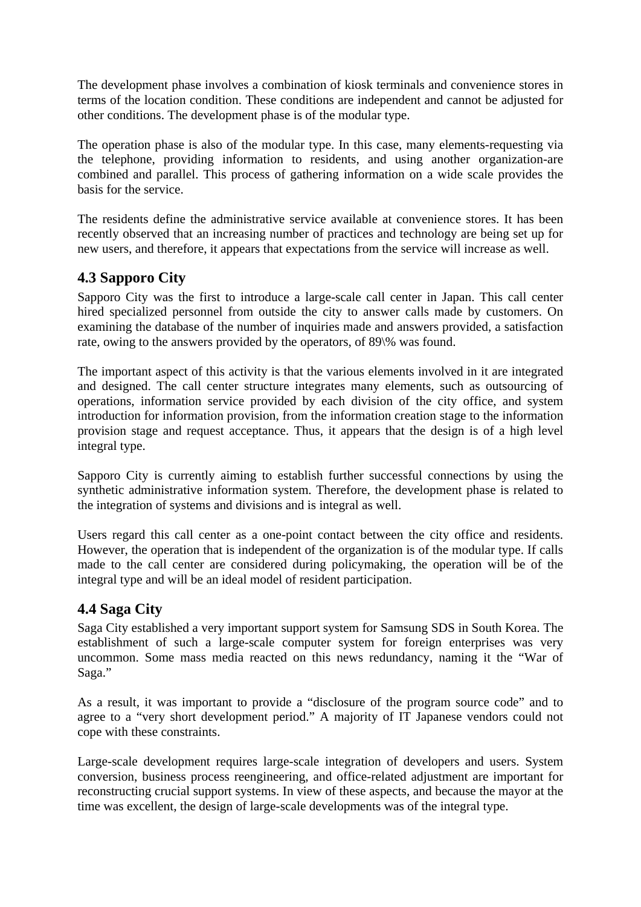The development phase involves a combination of kiosk terminals and convenience stores in terms of the location condition. These conditions are independent and cannot be adjusted for other conditions. The development phase is of the modular type.

The operation phase is also of the modular type. In this case, many elements-requesting via the telephone, providing information to residents, and using another organization-are combined and parallel. This process of gathering information on a wide scale provides the basis for the service.

The residents define the administrative service available at convenience stores. It has been recently observed that an increasing number of practices and technology are being set up for new users, and therefore, it appears that expectations from the service will increase as well.

#### **4.3 Sapporo City**

Sapporo City was the first to introduce a large-scale call center in Japan. This call center hired specialized personnel from outside the city to answer calls made by customers. On examining the database of the number of inquiries made and answers provided, a satisfaction rate, owing to the answers provided by the operators, of 89\% was found.

The important aspect of this activity is that the various elements involved in it are integrated and designed. The call center structure integrates many elements, such as outsourcing of operations, information service provided by each division of the city office, and system introduction for information provision, from the information creation stage to the information provision stage and request acceptance. Thus, it appears that the design is of a high level integral type.

Sapporo City is currently aiming to establish further successful connections by using the synthetic administrative information system. Therefore, the development phase is related to the integration of systems and divisions and is integral as well.

Users regard this call center as a one-point contact between the city office and residents. However, the operation that is independent of the organization is of the modular type. If calls made to the call center are considered during policymaking, the operation will be of the integral type and will be an ideal model of resident participation.

#### **4.4 Saga City**

Saga City established a very important support system for Samsung SDS in South Korea. The establishment of such a large-scale computer system for foreign enterprises was very uncommon. Some mass media reacted on this news redundancy, naming it the "War of Saga."

As a result, it was important to provide a "disclosure of the program source code" and to agree to a "very short development period." A majority of IT Japanese vendors could not cope with these constraints.

Large-scale development requires large-scale integration of developers and users. System conversion, business process reengineering, and office-related adjustment are important for reconstructing crucial support systems. In view of these aspects, and because the mayor at the time was excellent, the design of large-scale developments was of the integral type.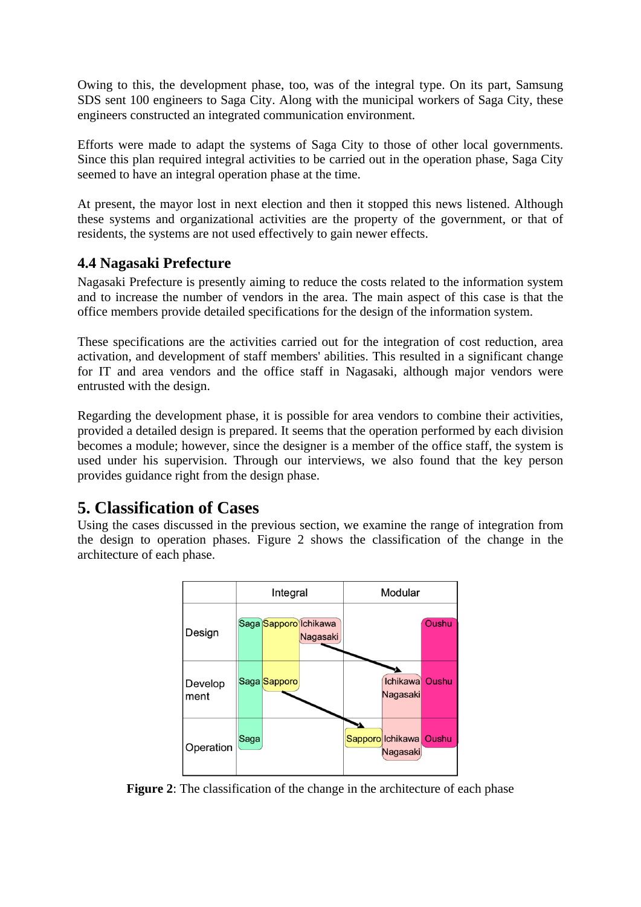Owing to this, the development phase, too, was of the integral type. On its part, Samsung SDS sent 100 engineers to Saga City. Along with the municipal workers of Saga City, these engineers constructed an integrated communication environment.

Efforts were made to adapt the systems of Saga City to those of other local governments. Since this plan required integral activities to be carried out in the operation phase, Saga City seemed to have an integral operation phase at the time.

At present, the mayor lost in next election and then it stopped this news listened. Although these systems and organizational activities are the property of the government, or that of residents, the systems are not used effectively to gain newer effects.

#### **4.4 Nagasaki Prefecture**

Nagasaki Prefecture is presently aiming to reduce the costs related to the information system and to increase the number of vendors in the area. The main aspect of this case is that the office members provide detailed specifications for the design of the information system.

These specifications are the activities carried out for the integration of cost reduction, area activation, and development of staff members' abilities. This resulted in a significant change for IT and area vendors and the office staff in Nagasaki, although major vendors were entrusted with the design.

Regarding the development phase, it is possible for area vendors to combine their activities, provided a detailed design is prepared. It seems that the operation performed by each division becomes a module; however, since the designer is a member of the office staff, the system is used under his supervision. Through our interviews, we also found that the key person provides guidance right from the design phase.

### **5. Classification of Cases**

Using the cases discussed in the previous section, we examine the range of integration from the design to operation phases. Figure 2 shows the classification of the change in the architecture of each phase.



**Figure 2**: The classification of the change in the architecture of each phase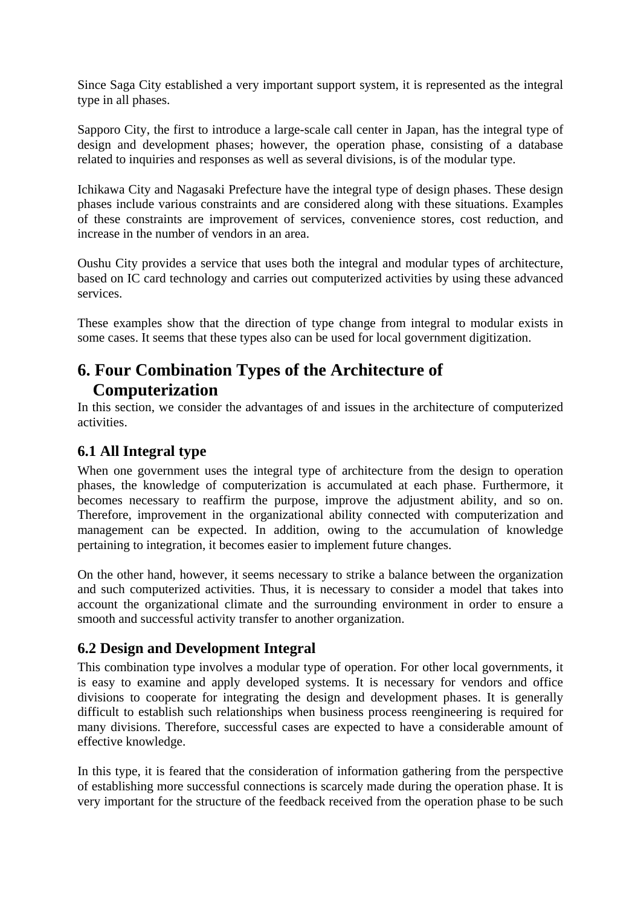Since Saga City established a very important support system, it is represented as the integral type in all phases.

Sapporo City, the first to introduce a large-scale call center in Japan, has the integral type of design and development phases; however, the operation phase, consisting of a database related to inquiries and responses as well as several divisions, is of the modular type.

Ichikawa City and Nagasaki Prefecture have the integral type of design phases. These design phases include various constraints and are considered along with these situations. Examples of these constraints are improvement of services, convenience stores, cost reduction, and increase in the number of vendors in an area.

Oushu City provides a service that uses both the integral and modular types of architecture, based on IC card technology and carries out computerized activities by using these advanced services.

These examples show that the direction of type change from integral to modular exists in some cases. It seems that these types also can be used for local government digitization.

## **6. Four Combination Types of the Architecture of Computerization**

In this section, we consider the advantages of and issues in the architecture of computerized activities.

#### **6.1 All Integral type**

When one government uses the integral type of architecture from the design to operation phases, the knowledge of computerization is accumulated at each phase. Furthermore, it becomes necessary to reaffirm the purpose, improve the adjustment ability, and so on. Therefore, improvement in the organizational ability connected with computerization and management can be expected. In addition, owing to the accumulation of knowledge pertaining to integration, it becomes easier to implement future changes.

On the other hand, however, it seems necessary to strike a balance between the organization and such computerized activities. Thus, it is necessary to consider a model that takes into account the organizational climate and the surrounding environment in order to ensure a smooth and successful activity transfer to another organization.

#### **6.2 Design and Development Integral**

This combination type involves a modular type of operation. For other local governments, it is easy to examine and apply developed systems. It is necessary for vendors and office divisions to cooperate for integrating the design and development phases. It is generally difficult to establish such relationships when business process reengineering is required for many divisions. Therefore, successful cases are expected to have a considerable amount of effective knowledge.

In this type, it is feared that the consideration of information gathering from the perspective of establishing more successful connections is scarcely made during the operation phase. It is very important for the structure of the feedback received from the operation phase to be such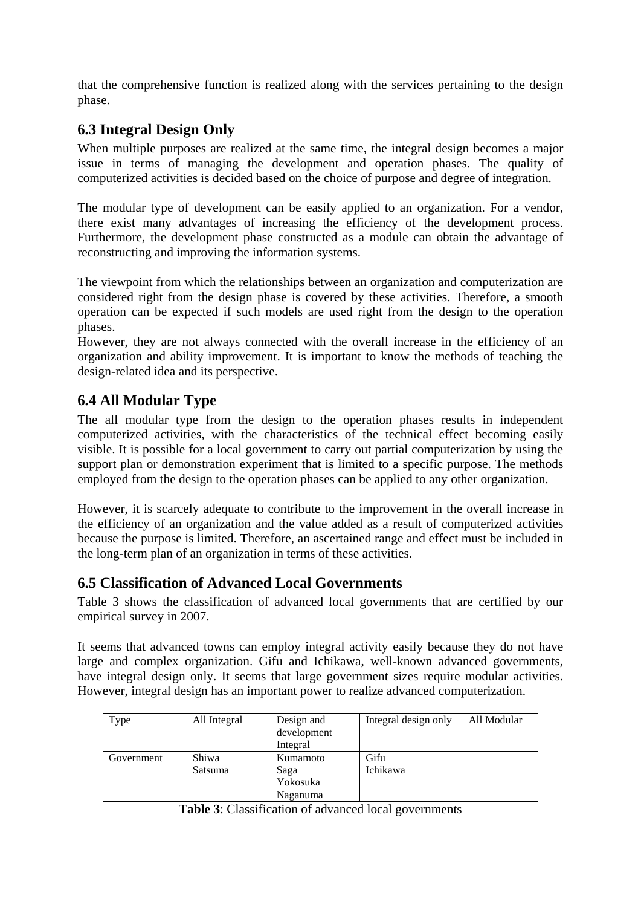that the comprehensive function is realized along with the services pertaining to the design phase.

#### **6.3 Integral Design Only**

When multiple purposes are realized at the same time, the integral design becomes a major issue in terms of managing the development and operation phases. The quality of computerized activities is decided based on the choice of purpose and degree of integration.

The modular type of development can be easily applied to an organization. For a vendor, there exist many advantages of increasing the efficiency of the development process. Furthermore, the development phase constructed as a module can obtain the advantage of reconstructing and improving the information systems.

The viewpoint from which the relationships between an organization and computerization are considered right from the design phase is covered by these activities. Therefore, a smooth operation can be expected if such models are used right from the design to the operation phases.

However, they are not always connected with the overall increase in the efficiency of an organization and ability improvement. It is important to know the methods of teaching the design-related idea and its perspective.

#### **6.4 All Modular Type**

The all modular type from the design to the operation phases results in independent computerized activities, with the characteristics of the technical effect becoming easily visible. It is possible for a local government to carry out partial computerization by using the support plan or demonstration experiment that is limited to a specific purpose. The methods employed from the design to the operation phases can be applied to any other organization.

However, it is scarcely adequate to contribute to the improvement in the overall increase in the efficiency of an organization and the value added as a result of computerized activities because the purpose is limited. Therefore, an ascertained range and effect must be included in the long-term plan of an organization in terms of these activities.

#### **6.5 Classification of Advanced Local Governments**

Table 3 shows the classification of advanced local governments that are certified by our empirical survey in 2007.

It seems that advanced towns can employ integral activity easily because they do not have large and complex organization. Gifu and Ichikawa, well-known advanced governments, have integral design only. It seems that large government sizes require modular activities. However, integral design has an important power to realize advanced computerization.

| Type       | All Integral | Design and<br>development<br>Integral | Integral design only | All Modular |
|------------|--------------|---------------------------------------|----------------------|-------------|
| Government | Shiwa        | Kumamoto                              | Gifu                 |             |
|            | Satsuma      | Saga                                  | Ichikawa             |             |
|            |              | Yokosuka                              |                      |             |
|            |              | Naganuma                              |                      |             |

**Table 3**: Classification of advanced local governments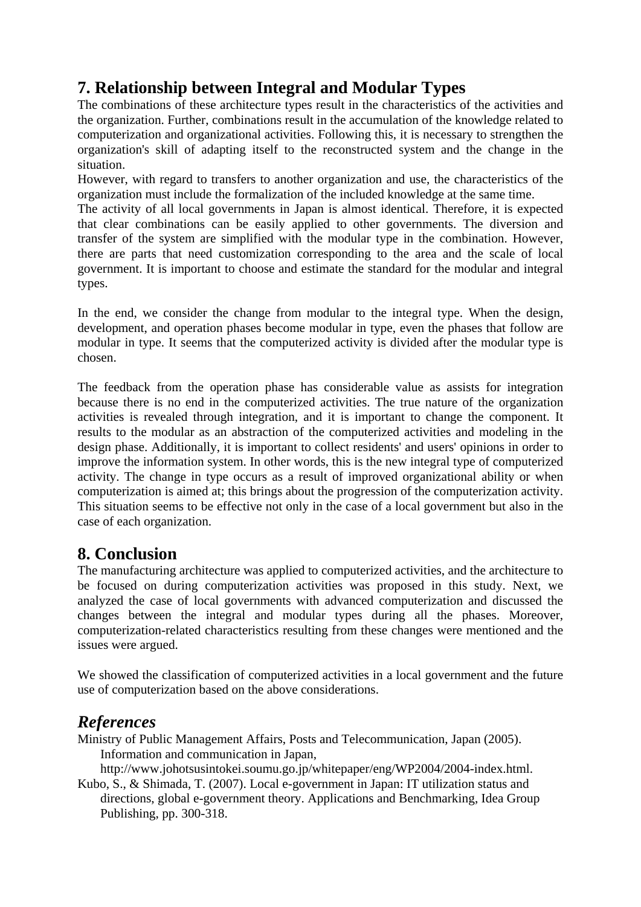## **7. Relationship between Integral and Modular Types**

The combinations of these architecture types result in the characteristics of the activities and the organization. Further, combinations result in the accumulation of the knowledge related to computerization and organizational activities. Following this, it is necessary to strengthen the organization's skill of adapting itself to the reconstructed system and the change in the situation.

However, with regard to transfers to another organization and use, the characteristics of the organization must include the formalization of the included knowledge at the same time.

The activity of all local governments in Japan is almost identical. Therefore, it is expected that clear combinations can be easily applied to other governments. The diversion and transfer of the system are simplified with the modular type in the combination. However, there are parts that need customization corresponding to the area and the scale of local government. It is important to choose and estimate the standard for the modular and integral types.

In the end, we consider the change from modular to the integral type. When the design, development, and operation phases become modular in type, even the phases that follow are modular in type. It seems that the computerized activity is divided after the modular type is chosen.

The feedback from the operation phase has considerable value as assists for integration because there is no end in the computerized activities. The true nature of the organization activities is revealed through integration, and it is important to change the component. It results to the modular as an abstraction of the computerized activities and modeling in the design phase. Additionally, it is important to collect residents' and users' opinions in order to improve the information system. In other words, this is the new integral type of computerized activity. The change in type occurs as a result of improved organizational ability or when computerization is aimed at; this brings about the progression of the computerization activity. This situation seems to be effective not only in the case of a local government but also in the case of each organization.

## **8. Conclusion**

The manufacturing architecture was applied to computerized activities, and the architecture to be focused on during computerization activities was proposed in this study. Next, we analyzed the case of local governments with advanced computerization and discussed the changes between the integral and modular types during all the phases. Moreover, computerization-related characteristics resulting from these changes were mentioned and the issues were argued.

We showed the classification of computerized activities in a local government and the future use of computerization based on the above considerations.

## *References*

Ministry of Public Management Affairs, Posts and Telecommunication, Japan (2005). Information and communication in Japan,

http://www.johotsusintokei.soumu.go.jp/whitepaper/eng/WP2004/2004-index.html.

Kubo, S., & Shimada, T. (2007). Local e-government in Japan: IT utilization status and directions, global e-government theory. Applications and Benchmarking, Idea Group Publishing, pp. 300-318.